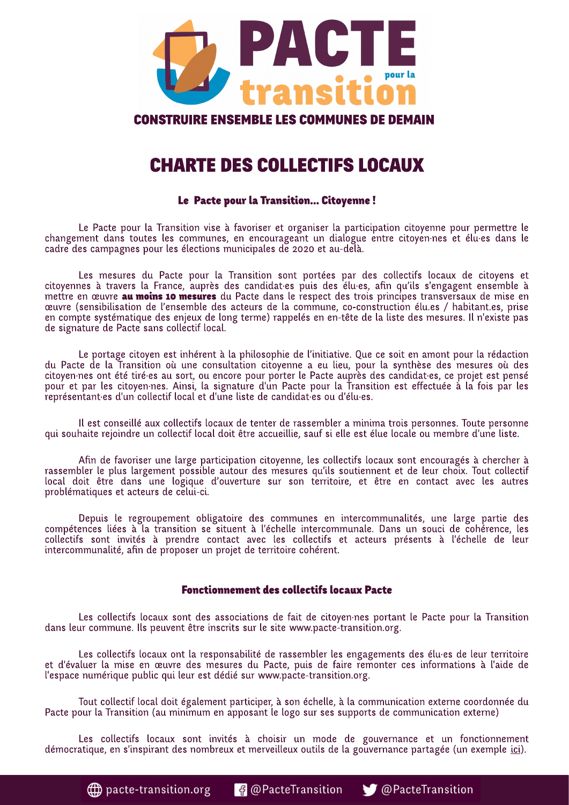

# **CONSTRUIRE ENSEMBLE LES COMMUNES DE DEMAIN**

# **CHARTE DES COLLECTIFS LOCAUX**

# Le Pacte pour la Transition... Citoyenne!

Le Pacte pour la Transition vise à favoriser et organiser la participation citoyenne pour permettre le changement dans toutes les communes, en encourageant un dialogue entre citoyen·nes et élu·es dans le cadre des campagnes pour les élections municipales de 2020 et au-delà.

Les mesures du Pacte pour la Transition sont portées par des collectifs locaux de citoyens et citoyennes à travers la France, auprès des candidates puis des élu-es, afin qu'ils s'engagent ensemble à mettre en œuvre **au moins 10 mesures** du Pacte dans le respect des trois principes transversaux de mise en œuvre (sensibilisation de l'ensemble des acteurs de la commune, co-construction élu.es / habitant.es, prise en compte systématique des enjeux de long terme) rappelés en en-tête de la liste des mesures. Il n'existe pas de signature de Pacte sans collectif local.

Le portage citoyen est inhérent à la philosophie de l'initiative. Que ce soit en amont pour la rédaction du Pacte de la Transition où une consultation citoyenne a eu lieu, pour la synthèse des mesures où des citoyen·nes ont été tiré·es au sort, ou encore pour porter le Pacte auprès des candidat·es, ce projet est pensé pour et par les citoyen nes. Ainsi, la signature d'un Pacte pour la Transition est effectuée à la fois par les représentantes d'un collectif local et d'une liste de candidates ou d'élues.

Il est conseillé aux collectifs locaux de tenter de rassembler a minima trois personnes. Toute personne qui souhaite rejoindre un collectif local doit être accueillie, sauf si elle est élue locale ou membre d'une liste.

Afin de favoriser une large participation citoyenne, les collectifs locaux sont encouragés à chercher à rassembler le plus largement possible autour des mesures qu'ils soutiennent et de leur choix. Tout collectif local doit être dans une logique d'ouverture sur son territoire, et être en contact avec les autres problématiques et acteurs de celui-ci.

Depuis le regroupement obligatoire des communes en intercommunalités, une large partie des compétences liées à la transition se situent à l'échelle intercommunale. Dans un souci de cohérence, les collectifs sont invités à prendre contact avec les collectifs et acteurs présents à l'échelle de leur intercommunalité, afin de proposer un projet de territoire cohérent.

# **Fonctionnement des collectifs locaux Pacte**

Les collectifs locaux sont des associations de fait de citoyen nes portant le Pacte pour la Transition dans leur commune. Ils peuvent être inscrits sur le site www.pacte-transition.org.

Les collectifs locaux ont la responsabilité de rassembler les engagements des élu-es de leur territoire et d'évaluer la mise en œuvre des mesures du Pacte, puis de faire remonter ces informations à l'aide de l'espace numérique public qui leur est dédié sur www.pacte-transition.org.

Tout collectif local doit également participer, à son échelle, à la communication externe coordonnée du Pacte pour la Transition (au minimum en apposant le logo sur ses supports de communication externe)

Les collectifs locaux sont invités à choisir un mode de gouvernance et un fonctionnement démocratique, en s'inspirant des nombreux et merveilleux outils de la gouvernance partagée (un exemple *ici*).